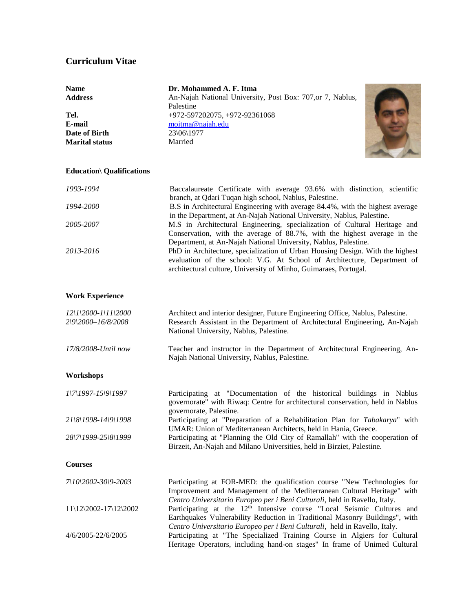## **Curriculum Vitae**

| <b>Name</b>           | Dr. Mohammed A. F. Itma                                    |  |
|-----------------------|------------------------------------------------------------|--|
| <b>Address</b>        | An-Najah National University, Post Box: 707, or 7, Nablus, |  |
|                       | Palestine                                                  |  |
| Tel.                  | +972-597202075, +972-92361068                              |  |
| E-mail                | moitma@najah.edu                                           |  |
| Date of Birth         | 23\06\1977                                                 |  |
| <b>Marital status</b> | Married                                                    |  |
|                       |                                                            |  |

## **Education\ Qualifications**

| 1993-1994 | Baccalaureate Certificate with average 93.6% with distinction, scientific     |
|-----------|-------------------------------------------------------------------------------|
|           | branch, at Qdari Tuqan high school, Nablus, Palestine.                        |
| 1994-2000 | B.S in Architectural Engineering with average 84.4%, with the highest average |
|           | in the Department, at An-Najah National University, Nablus, Palestine.        |
| 2005-2007 | M.S in Architectural Engineering, specialization of Cultural Heritage and     |
|           | Conservation, with the average of 88.7%, with the highest average in the      |
|           | Department, at An-Najah National University, Nablus, Palestine.               |
| 2013-2016 | PhD in Architecture, specialization of Urban Housing Design. With the highest |
|           | evaluation of the school: V.G. At School of Architecture, Department of       |
|           | architectural culture, University of Minho, Guimaraes, Portugal.              |
|           |                                                                               |

## **Work Experience**

| $12\frac{1}{2000}$ -1\11\2000<br>2\9\2000-16/8/2008 | Architect and interior designer, Future Engineering Office, Nablus, Palestine.<br>Research Assistant in the Department of Architectural Engineering, An-Najah<br>National University, Nablus, Palestine. |
|-----------------------------------------------------|----------------------------------------------------------------------------------------------------------------------------------------------------------------------------------------------------------|
| 17/8/2008-Until now                                 | Teacher and instructor in the Department of Architectural Engineering, An-<br>Najah National University, Nablus, Palestine.                                                                              |
| Workshops                                           |                                                                                                                                                                                                          |
| $1\frac{7}{297}$ -15 $\frac{9}{1997}$               | Participating at "Documentation of the historical buildings in Nablus<br>governorate" with Riwaq: Centre for architectural conservation, held in Nablus<br>governorate, Palestine.                       |
| $21\frac{8}{1998} - 14\frac{9}{1998}$               | Participating at "Preparation of a Rehabilitation Plan for Tabakarya" with<br>UMAR: Union of Mediterranean Architects, held in Hania, Greece.                                                            |
| 28\7\1999-25\8\1999                                 | Participating at "Planning the Old City of Ramallah" with the cooperation of<br>Birzeit, An-Najah and Milano Universities, held in Birziet, Palestine.                                                   |
| <b>Courses</b>                                      |                                                                                                                                                                                                          |

| 7\10\2002-30\9-2003   | Participating at FOR-MED: the qualification course "New Technologies for           |
|-----------------------|------------------------------------------------------------------------------------|
|                       | Improvement and Management of the Mediterranean Cultural Heritage" with            |
|                       | Centro Universitario Europeo per i Beni Culturali, held in Ravello, Italy.         |
| 11\12\2002-17\12\2002 | Participating at the 12 <sup>th</sup> Intensive course "Local Seismic Cultures and |
|                       | Earthquakes Vulnerability Reduction in Traditional Masonry Buildings", with        |
|                       | Centro Universitario Europeo per i Beni Culturali, held in Ravello, Italy.         |
| 4/6/2005-22/6/2005    | Participating at "The Specialized Training Course in Algiers for Cultural          |
|                       | Heritage Operators, including hand-on stages" In frame of Unimed Cultural          |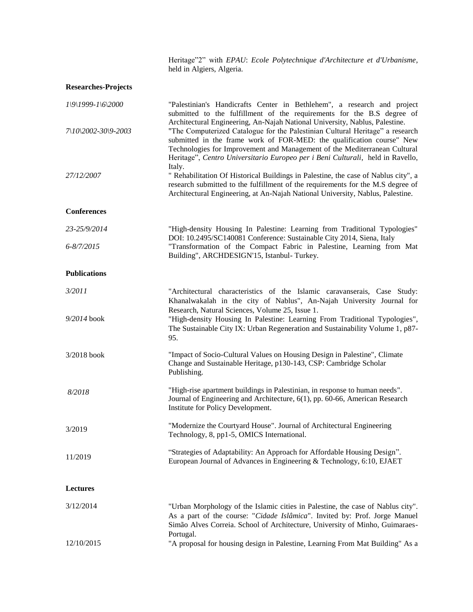Heritage"2" with *EPAU*: *Ecole Polytechnique d'Architecture et d'Urbanisme*, held in Algiers, Algeria.

**Researches-Projects**

| $I\setminus 9\setminus 1999 - I\setminus 6\setminus 2000$ | "Palestinian's Handicrafts Center in Bethlehem", a research and project<br>submitted to the fulfillment of the requirements for the B.S degree of                                                                                                                                                                                                                                                                                                                                                                                                                                                                                                                         |  |
|-----------------------------------------------------------|---------------------------------------------------------------------------------------------------------------------------------------------------------------------------------------------------------------------------------------------------------------------------------------------------------------------------------------------------------------------------------------------------------------------------------------------------------------------------------------------------------------------------------------------------------------------------------------------------------------------------------------------------------------------------|--|
| 7\10\2002-30\9-2003                                       | Architectural Engineering, An-Najah National University, Nablus, Palestine.<br>"The Computerized Catalogue for the Palestinian Cultural Heritage" a research<br>submitted in the frame work of FOR-MED: the qualification course" New<br>Technologies for Improvement and Management of the Mediterranean Cultural<br>Heritage", Centro Universitario Europeo per i Beni Culturali, held in Ravello,<br>Italy.<br>" Rehabilitation Of Historical Buildings in Palestine, the case of Nablus city", a<br>research submitted to the fulfillment of the requirements for the M.S degree of<br>Architectural Engineering, at An-Najah National University, Nablus, Palestine. |  |
| 27/12/2007                                                |                                                                                                                                                                                                                                                                                                                                                                                                                                                                                                                                                                                                                                                                           |  |
| <b>Conferences</b>                                        |                                                                                                                                                                                                                                                                                                                                                                                                                                                                                                                                                                                                                                                                           |  |
| 23-25/9/2014                                              | "High-density Housing In Palestine: Learning from Traditional Typologies"                                                                                                                                                                                                                                                                                                                                                                                                                                                                                                                                                                                                 |  |
| 6-8/7/2015                                                | DOI: 10.2495/SC140081 Conference: Sustainable City 2014, Siena, Italy<br>"Transformation of the Compact Fabric in Palestine, Learning from Mat<br>Building", ARCHDESIGN'15, Istanbul- Turkey.                                                                                                                                                                                                                                                                                                                                                                                                                                                                             |  |
| <b>Publications</b>                                       |                                                                                                                                                                                                                                                                                                                                                                                                                                                                                                                                                                                                                                                                           |  |
| 3/2011                                                    | "Architectural characteristics of the Islamic caravanserais, Case Study:<br>Khanalwakalah in the city of Nablus", An-Najah University Journal for                                                                                                                                                                                                                                                                                                                                                                                                                                                                                                                         |  |
| 9/2014 book                                               | Research, Natural Sciences, Volume 25, Issue 1.<br>"High-density Housing In Palestine: Learning From Traditional Typologies",<br>The Sustainable City IX: Urban Regeneration and Sustainability Volume 1, p87-<br>95.                                                                                                                                                                                                                                                                                                                                                                                                                                                     |  |
| 3/2018 book                                               | "Impact of Socio-Cultural Values on Housing Design in Palestine", Climate<br>Change and Sustainable Heritage, p130-143, CSP: Cambridge Scholar<br>Publishing.                                                                                                                                                                                                                                                                                                                                                                                                                                                                                                             |  |
| 8/2018                                                    | "High-rise apartment buildings in Palestinian, in response to human needs".<br>Journal of Engineering and Architecture, 6(1), pp. 60-66, American Research<br>Institute for Policy Development.                                                                                                                                                                                                                                                                                                                                                                                                                                                                           |  |
| 3/2019                                                    | "Modernize the Courtyard House". Journal of Architectural Engineering<br>Technology, 8, pp1-5, OMICS International.                                                                                                                                                                                                                                                                                                                                                                                                                                                                                                                                                       |  |
| 11/2019                                                   | "Strategies of Adaptability: An Approach for Affordable Housing Design".<br>European Journal of Advances in Engineering & Technology, 6:10, EJAET                                                                                                                                                                                                                                                                                                                                                                                                                                                                                                                         |  |
| <b>Lectures</b>                                           |                                                                                                                                                                                                                                                                                                                                                                                                                                                                                                                                                                                                                                                                           |  |
| 3/12/2014                                                 | "Urban Morphology of the Islamic cities in Palestine, the case of Nablus city".<br>As a part of the course: "Cidade Islâmica". Invited by: Prof. Jorge Manuel<br>Simão Alves Correia. School of Architecture, University of Minho, Guimaraes-<br>Portugal.                                                                                                                                                                                                                                                                                                                                                                                                                |  |
| 12/10/2015                                                | "A proposal for housing design in Palestine, Learning From Mat Building" As a                                                                                                                                                                                                                                                                                                                                                                                                                                                                                                                                                                                             |  |